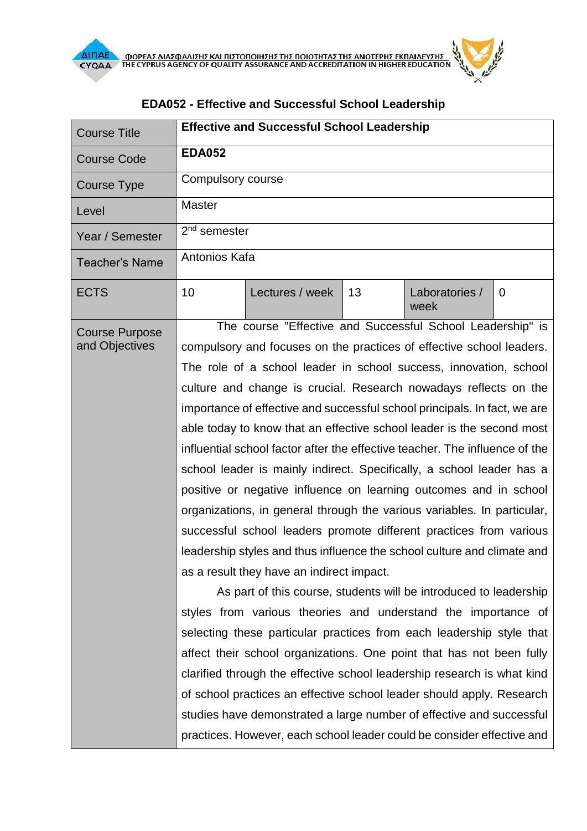| <b>Course Title</b>   |                                                                             | <b>Effective and Successful School Leadership</b>                      |    |                        |                |  |
|-----------------------|-----------------------------------------------------------------------------|------------------------------------------------------------------------|----|------------------------|----------------|--|
| <b>Course Code</b>    | <b>EDA052</b>                                                               |                                                                        |    |                        |                |  |
| <b>Course Type</b>    | Compulsory course                                                           |                                                                        |    |                        |                |  |
| Level                 | <b>Master</b>                                                               |                                                                        |    |                        |                |  |
| Year / Semester       | $2nd$ semester                                                              |                                                                        |    |                        |                |  |
| <b>Teacher's Name</b> | Antonios Kafa                                                               |                                                                        |    |                        |                |  |
| <b>ECTS</b>           | 10                                                                          | Lectures / week                                                        | 13 | Laboratories /<br>week | $\overline{0}$ |  |
| <b>Course Purpose</b> |                                                                             | The course "Effective and Successful School Leadership" is             |    |                        |                |  |
| and Objectives        | compulsory and focuses on the practices of effective school leaders.        |                                                                        |    |                        |                |  |
|                       | The role of a school leader in school success, innovation, school           |                                                                        |    |                        |                |  |
|                       | culture and change is crucial. Research nowadays reflects on the            |                                                                        |    |                        |                |  |
|                       | importance of effective and successful school principals. In fact, we are   |                                                                        |    |                        |                |  |
|                       | able today to know that an effective school leader is the second most       |                                                                        |    |                        |                |  |
|                       | influential school factor after the effective teacher. The influence of the |                                                                        |    |                        |                |  |
|                       | school leader is mainly indirect. Specifically, a school leader has a       |                                                                        |    |                        |                |  |
|                       | positive or negative influence on learning outcomes and in school           |                                                                        |    |                        |                |  |
|                       | organizations, in general through the various variables. In particular,     |                                                                        |    |                        |                |  |
|                       | successful school leaders promote different practices from various          |                                                                        |    |                        |                |  |
|                       | leadership styles and thus influence the school culture and climate and     |                                                                        |    |                        |                |  |
|                       | as a result they have an indirect impact.                                   |                                                                        |    |                        |                |  |
|                       |                                                                             | As part of this course, students will be introduced to leadership      |    |                        |                |  |
|                       |                                                                             | styles from various theories and understand the importance of          |    |                        |                |  |
|                       |                                                                             | selecting these particular practices from each leadership style that   |    |                        |                |  |
|                       |                                                                             | affect their school organizations. One point that has not been fully   |    |                        |                |  |
|                       | clarified through the effective school leadership research is what kind     |                                                                        |    |                        |                |  |
|                       | of school practices an effective school leader should apply. Research       |                                                                        |    |                        |                |  |
|                       | studies have demonstrated a large number of effective and successful        |                                                                        |    |                        |                |  |
|                       |                                                                             | practices. However, each school leader could be consider effective and |    |                        |                |  |

## **EDΑ052 - Effective and Successful School Leadership**

**Allies**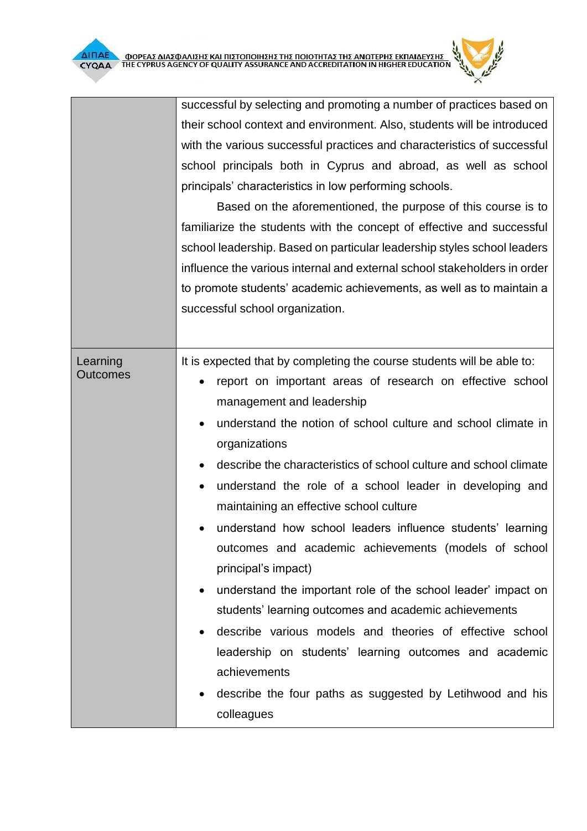|                             | Ο ΦΟΡΕΑΣ ΔΙΑΣΦΑΛΙΣΗΣ ΚΑΙ ΠΙΣΤΟΠΟΙΗΣΗΣ ΤΗΣ ΠΟΙΟΤΗΤΑΣ ΤΗΣ ΑΝΩΤΕΡΗΣ ΕΚΠΑΙΔΕΥΣΗΣ<br>ΤΗΕ CYPRUS AGENCY OF QUALITY ASSURANCE AND ACCREDITATION IN HIGHER EDUCATION                                                                                                                                                                                                                                                                                                                                                                                                                                                                                                                                                                                                                                                                                                                                                                        |  |  |
|-----------------------------|-------------------------------------------------------------------------------------------------------------------------------------------------------------------------------------------------------------------------------------------------------------------------------------------------------------------------------------------------------------------------------------------------------------------------------------------------------------------------------------------------------------------------------------------------------------------------------------------------------------------------------------------------------------------------------------------------------------------------------------------------------------------------------------------------------------------------------------------------------------------------------------------------------------------------------------|--|--|
|                             | successful by selecting and promoting a number of practices based on                                                                                                                                                                                                                                                                                                                                                                                                                                                                                                                                                                                                                                                                                                                                                                                                                                                                |  |  |
|                             | their school context and environment. Also, students will be introduced                                                                                                                                                                                                                                                                                                                                                                                                                                                                                                                                                                                                                                                                                                                                                                                                                                                             |  |  |
|                             | with the various successful practices and characteristics of successful                                                                                                                                                                                                                                                                                                                                                                                                                                                                                                                                                                                                                                                                                                                                                                                                                                                             |  |  |
|                             | school principals both in Cyprus and abroad, as well as school                                                                                                                                                                                                                                                                                                                                                                                                                                                                                                                                                                                                                                                                                                                                                                                                                                                                      |  |  |
|                             | principals' characteristics in low performing schools.                                                                                                                                                                                                                                                                                                                                                                                                                                                                                                                                                                                                                                                                                                                                                                                                                                                                              |  |  |
|                             | Based on the aforementioned, the purpose of this course is to                                                                                                                                                                                                                                                                                                                                                                                                                                                                                                                                                                                                                                                                                                                                                                                                                                                                       |  |  |
|                             | familiarize the students with the concept of effective and successful                                                                                                                                                                                                                                                                                                                                                                                                                                                                                                                                                                                                                                                                                                                                                                                                                                                               |  |  |
|                             | school leadership. Based on particular leadership styles school leaders                                                                                                                                                                                                                                                                                                                                                                                                                                                                                                                                                                                                                                                                                                                                                                                                                                                             |  |  |
|                             | influence the various internal and external school stakeholders in order                                                                                                                                                                                                                                                                                                                                                                                                                                                                                                                                                                                                                                                                                                                                                                                                                                                            |  |  |
|                             | to promote students' academic achievements, as well as to maintain a                                                                                                                                                                                                                                                                                                                                                                                                                                                                                                                                                                                                                                                                                                                                                                                                                                                                |  |  |
|                             | successful school organization.                                                                                                                                                                                                                                                                                                                                                                                                                                                                                                                                                                                                                                                                                                                                                                                                                                                                                                     |  |  |
|                             |                                                                                                                                                                                                                                                                                                                                                                                                                                                                                                                                                                                                                                                                                                                                                                                                                                                                                                                                     |  |  |
| Learning<br><b>Outcomes</b> | It is expected that by completing the course students will be able to:<br>report on important areas of research on effective school<br>management and leadership<br>understand the notion of school culture and school climate in<br>organizations<br>describe the characteristics of school culture and school climate<br>understand the role of a school leader in developing and<br>maintaining an effective school culture<br>understand how school leaders influence students' learning<br>outcomes and academic achievements (models of school<br>principal's impact)<br>understand the important role of the school leader' impact on<br>$\bullet$<br>students' learning outcomes and academic achievements<br>describe various models and theories of effective school<br>leadership on students' learning outcomes and academic<br>achievements<br>describe the four paths as suggested by Letihwood and his<br>colleagues |  |  |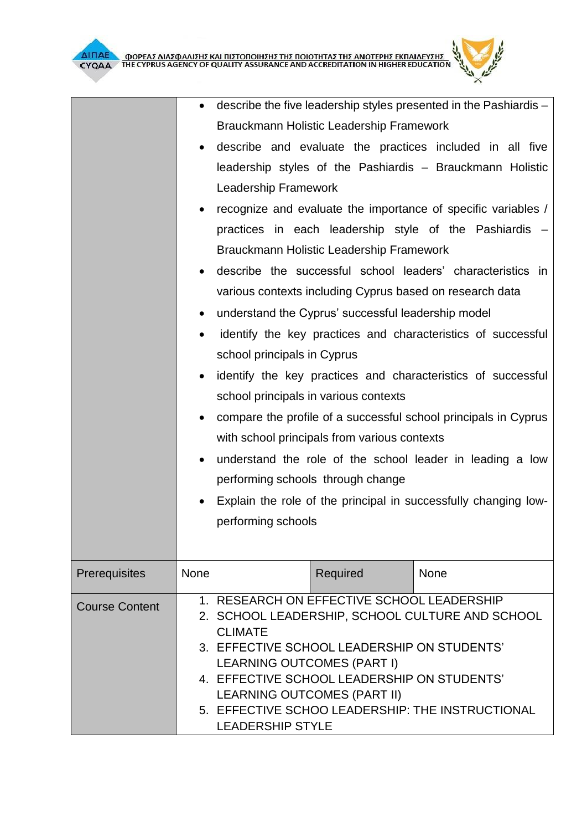**Supply**  $^{\times}$ 

|                       | $\bullet$ | describe the five leadership styles presented in the Pashiardis –                |                                                    |                                                                 |  |  |
|-----------------------|-----------|----------------------------------------------------------------------------------|----------------------------------------------------|-----------------------------------------------------------------|--|--|
|                       |           |                                                                                  | Brauckmann Holistic Leadership Framework           |                                                                 |  |  |
|                       |           |                                                                                  |                                                    | describe and evaluate the practices included in all five        |  |  |
|                       |           |                                                                                  |                                                    | leadership styles of the Pashiardis - Brauckmann Holistic       |  |  |
|                       |           | Leadership Framework                                                             |                                                    |                                                                 |  |  |
|                       |           |                                                                                  |                                                    | recognize and evaluate the importance of specific variables /   |  |  |
|                       |           |                                                                                  |                                                    | practices in each leadership style of the Pashiardis -          |  |  |
|                       |           |                                                                                  | Brauckmann Holistic Leadership Framework           |                                                                 |  |  |
|                       |           |                                                                                  |                                                    | describe the successful school leaders' characteristics in      |  |  |
|                       |           |                                                                                  |                                                    | various contexts including Cyprus based on research data        |  |  |
|                       |           |                                                                                  | understand the Cyprus' successful leadership model |                                                                 |  |  |
|                       | $\bullet$ |                                                                                  |                                                    | identify the key practices and characteristics of successful    |  |  |
|                       |           | school principals in Cyprus                                                      |                                                    |                                                                 |  |  |
|                       | $\bullet$ |                                                                                  |                                                    | identify the key practices and characteristics of successful    |  |  |
|                       |           |                                                                                  | school principals in various contexts              |                                                                 |  |  |
|                       | $\bullet$ |                                                                                  |                                                    | compare the profile of a successful school principals in Cyprus |  |  |
|                       |           |                                                                                  | with school principals from various contexts       |                                                                 |  |  |
|                       | $\bullet$ | understand the role of the school leader in leading a low                        |                                                    |                                                                 |  |  |
|                       |           |                                                                                  | performing schools through change                  |                                                                 |  |  |
|                       |           |                                                                                  |                                                    | Explain the role of the principal in successfully changing low- |  |  |
|                       |           | performing schools                                                               |                                                    |                                                                 |  |  |
|                       |           |                                                                                  |                                                    |                                                                 |  |  |
| Prerequisites         | None      |                                                                                  | Required                                           | None                                                            |  |  |
|                       |           |                                                                                  |                                                    |                                                                 |  |  |
| <b>Course Content</b> |           |                                                                                  | 1. RESEARCH ON EFFECTIVE SCHOOL LEADERSHIP         |                                                                 |  |  |
|                       |           | 2. SCHOOL LEADERSHIP, SCHOOL CULTURE AND SCHOOL<br><b>CLIMATE</b>                |                                                    |                                                                 |  |  |
|                       |           | 3. EFFECTIVE SCHOOL LEADERSHIP ON STUDENTS'                                      |                                                    |                                                                 |  |  |
|                       |           | <b>LEARNING OUTCOMES (PART I)</b><br>4. EFFECTIVE SCHOOL LEADERSHIP ON STUDENTS' |                                                    |                                                                 |  |  |
|                       |           | <b>LEARNING OUTCOMES (PART II)</b>                                               |                                                    |                                                                 |  |  |
|                       |           |                                                                                  |                                                    | 5. EFFECTIVE SCHOO LEADERSHIP: THE INSTRUCTIONAL                |  |  |
|                       |           | <b>I FADERSHIP STYLE</b>                                                         |                                                    |                                                                 |  |  |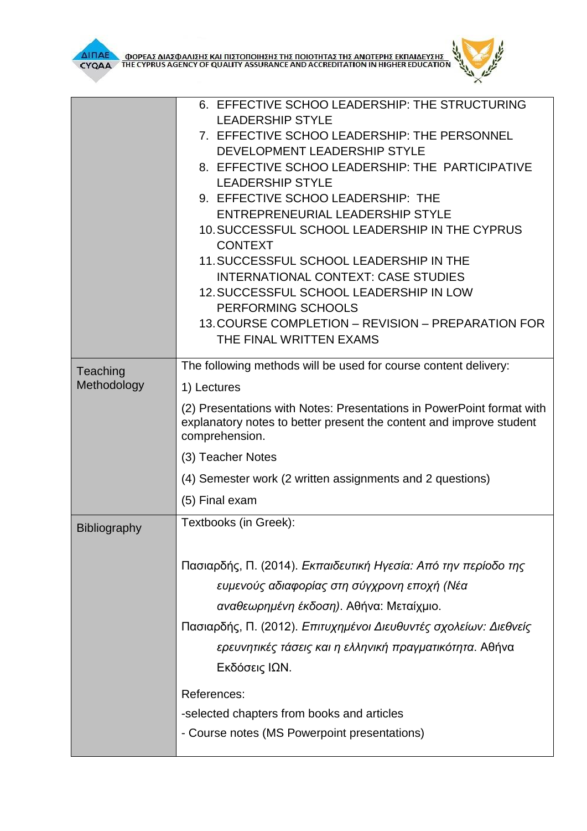|                         | 6. EFFECTIVE SCHOO LEADERSHIP: THE STRUCTURING                                                                                                                 |  |  |  |
|-------------------------|----------------------------------------------------------------------------------------------------------------------------------------------------------------|--|--|--|
|                         | <b>LEADERSHIP STYLE</b>                                                                                                                                        |  |  |  |
|                         | 7. EFFECTIVE SCHOO LEADERSHIP: THE PERSONNEL                                                                                                                   |  |  |  |
|                         | DEVELOPMENT LEADERSHIP STYLE                                                                                                                                   |  |  |  |
|                         | 8. EFFECTIVE SCHOO LEADERSHIP: THE PARTICIPATIVE<br><b>LEADERSHIP STYLE</b>                                                                                    |  |  |  |
|                         | 9. EFFECTIVE SCHOO LEADERSHIP: THE                                                                                                                             |  |  |  |
|                         | <b>ENTREPRENEURIAL LEADERSHIP STYLE</b>                                                                                                                        |  |  |  |
|                         | 10. SUCCESSFUL SCHOOL LEADERSHIP IN THE CYPRUS                                                                                                                 |  |  |  |
|                         | <b>CONTEXT</b>                                                                                                                                                 |  |  |  |
|                         | 11. SUCCESSFUL SCHOOL LEADERSHIP IN THE                                                                                                                        |  |  |  |
|                         | <b>INTERNATIONAL CONTEXT: CASE STUDIES</b>                                                                                                                     |  |  |  |
|                         | 12. SUCCESSFUL SCHOOL LEADERSHIP IN LOW                                                                                                                        |  |  |  |
|                         | PERFORMING SCHOOLS                                                                                                                                             |  |  |  |
|                         | 13. COURSE COMPLETION - REVISION - PREPARATION FOR                                                                                                             |  |  |  |
|                         | THE FINAL WRITTEN EXAMS                                                                                                                                        |  |  |  |
| Teaching<br>Methodology | The following methods will be used for course content delivery:                                                                                                |  |  |  |
|                         | 1) Lectures                                                                                                                                                    |  |  |  |
|                         | (2) Presentations with Notes: Presentations in PowerPoint format with<br>explanatory notes to better present the content and improve student<br>comprehension. |  |  |  |
|                         | (3) Teacher Notes                                                                                                                                              |  |  |  |
|                         | (4) Semester work (2 written assignments and 2 questions)                                                                                                      |  |  |  |
|                         | (5) Final exam                                                                                                                                                 |  |  |  |
| <b>Bibliography</b>     | Textbooks (in Greek):                                                                                                                                          |  |  |  |
|                         |                                                                                                                                                                |  |  |  |
|                         | Πασιαρδής, Π. (2014). Εκπαιδευτική Ηγεσία: Από την περίοδο της                                                                                                 |  |  |  |
|                         | ευμενούς αδιαφορίας στη σύγχρονη εποχή (Νέα                                                                                                                    |  |  |  |
|                         | αναθεωρημένη έκδοση). Αθήνα: Μεταίχμιο.                                                                                                                        |  |  |  |
|                         | Πασιαρδής, Π. (2012). Επιτυχημένοι Διευθυντές σχολείων: Διεθνείς                                                                                               |  |  |  |
|                         |                                                                                                                                                                |  |  |  |
|                         | ερευνητικές τάσεις και η ελληνική πραγματικότητα. Αθήνα                                                                                                        |  |  |  |
|                         | Εκδόσεις ΙΩΝ.                                                                                                                                                  |  |  |  |
|                         | References:                                                                                                                                                    |  |  |  |
|                         | -selected chapters from books and articles                                                                                                                     |  |  |  |
|                         | - Course notes (MS Powerpoint presentations)                                                                                                                   |  |  |  |
|                         |                                                                                                                                                                |  |  |  |